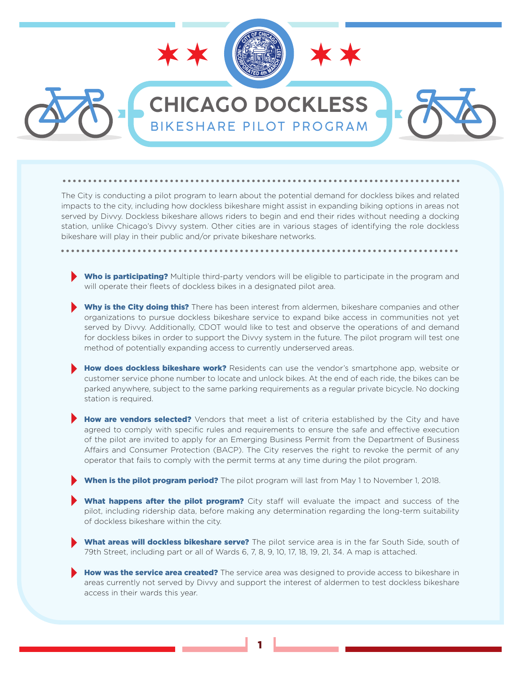

## **CHICAGO DOCKLESS** BIKESHARE PILOT PROGRAM

The City is conducting a pilot program to learn about the potential demand for dockless bikes and related impacts to the city, including how dockless bikeshare might assist in expanding biking options in areas not served by Divvy. Dockless bikeshare allows riders to begin and end their rides without needing a docking station, unlike Chicago's Divvy system. Other cities are in various stages of identifying the role dockless bikeshare will play in their public and/or private bikeshare networks.

- Who is participating? Multiple third-party vendors will be eligible to participate in the program and will operate their fleets of dockless bikes in a designated pilot area.
- Why is the City doing this? There has been interest from aldermen, bikeshare companies and other organizations to pursue dockless bikeshare service to expand bike access in communities not yet served by Divvy. Additionally, CDOT would like to test and observe the operations of and demand for dockless bikes in order to support the Divvy system in the future. The pilot program will test one method of potentially expanding access to currently underserved areas.
- How does dockless bikeshare work? Residents can use the vendor's smartphone app, website or customer service phone number to locate and unlock bikes. At the end of each ride, the bikes can be parked anywhere, subject to the same parking requirements as a regular private bicycle. No docking station is required.
- How are vendors selected? Vendors that meet a list of criteria established by the City and have agreed to comply with specific rules and requirements to ensure the safe and effective execution of the pilot are invited to apply for an Emerging Business Permit from the Department of Business Affairs and Consumer Protection (BACP). The City reserves the right to revoke the permit of any operator that fails to comply with the permit terms at any time during the pilot program.

When is the pilot program period? The pilot program will last from May 1 to November 1, 2018.

- What happens after the pilot program? City staff will evaluate the impact and success of the pilot, including ridership data, before making any determination regarding the long-term suitability of dockless bikeshare within the city.
- What areas will dockless bikeshare serve? The pilot service area is in the far South Side, south of 79th Street, including part or all of Wards 6, 7, 8, 9, 10, 17, 18, 19, 21, 34. A map is attached.
- **How was the service area created?** The service area was designed to provide access to bikeshare in areas currently not served by Divvy and support the interest of aldermen to test dockless bikeshare access in their wards this year.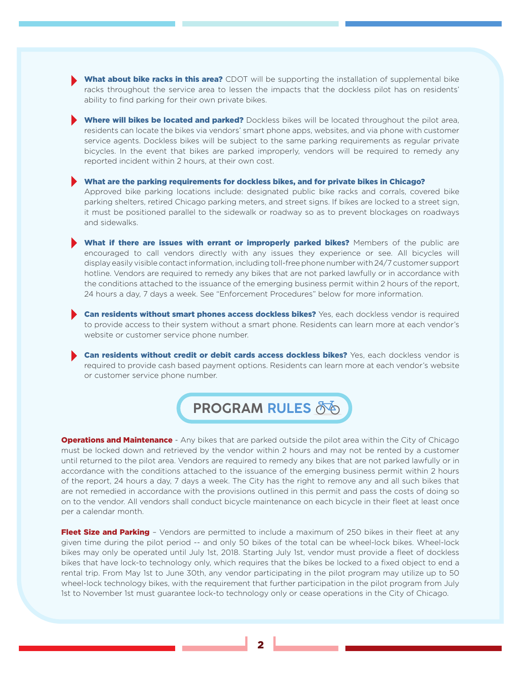- What about bike racks in this area? CDOT will be supporting the installation of supplemental bike racks throughout the service area to lessen the impacts that the dockless pilot has on residents' ability to find parking for their own private bikes.
- Where will bikes be located and parked? Dockless bikes will be located throughout the pilot area, residents can locate the bikes via vendors' smart phone apps, websites, and via phone with customer service agents. Dockless bikes will be subject to the same parking requirements as regular private bicycles. In the event that bikes are parked improperly, vendors will be required to remedy any reported incident within 2 hours, at their own cost.

What are the parking requirements for dockless bikes, and for private bikes in Chicago? Approved bike parking locations include: designated public bike racks and corrals, covered bike parking shelters, retired Chicago parking meters, and street signs. If bikes are locked to a street sign, it must be positioned parallel to the sidewalk or roadway so as to prevent blockages on roadways and sidewalks.

What if there are issues with errant or improperly parked bikes? Members of the public are encouraged to call vendors directly with any issues they experience or see. All bicycles will display easily visible contact information, including toll-free phone number with 24/7 customer support hotline. Vendors are required to remedy any bikes that are not parked lawfully or in accordance with the conditions attached to the issuance of the emerging business permit within 2 hours of the report, 24 hours a day, 7 days a week. See "Enforcement Procedures" below for more information.

Can residents without smart phones access dockless bikes? Yes, each dockless vendor is required to provide access to their system without a smart phone. Residents can learn more at each vendor's website or customer service phone number.

Can residents without credit or debit cards access dockless bikes? Yes, each dockless vendor is required to provide cash based payment options. Residents can learn more at each vendor's website or customer service phone number.



**Operations and Maintenance** - Any bikes that are parked outside the pilot area within the City of Chicago must be locked down and retrieved by the vendor within 2 hours and may not be rented by a customer until returned to the pilot area. Vendors are required to remedy any bikes that are not parked lawfully or in accordance with the conditions attached to the issuance of the emerging business permit within 2 hours of the report, 24 hours a day, 7 days a week. The City has the right to remove any and all such bikes that are not remedied in accordance with the provisions outlined in this permit and pass the costs of doing so on to the vendor. All vendors shall conduct bicycle maintenance on each bicycle in their fleet at least once per a calendar month.

Fleet Size and Parking - Vendors are permitted to include a maximum of 250 bikes in their fleet at any given time during the pilot period -- and only 50 bikes of the total can be wheel-lock bikes. Wheel-lock bikes may only be operated until July 1st, 2018. Starting July 1st, vendor must provide a fleet of dockless bikes that have lock-to technology only, which requires that the bikes be locked to a fixed object to end a rental trip. From May 1st to June 30th, any vendor participating in the pilot program may utilize up to 50 wheel-lock technology bikes, with the requirement that further participation in the pilot program from July 1st to November 1st must guarantee lock-to technology only or cease operations in the City of Chicago.